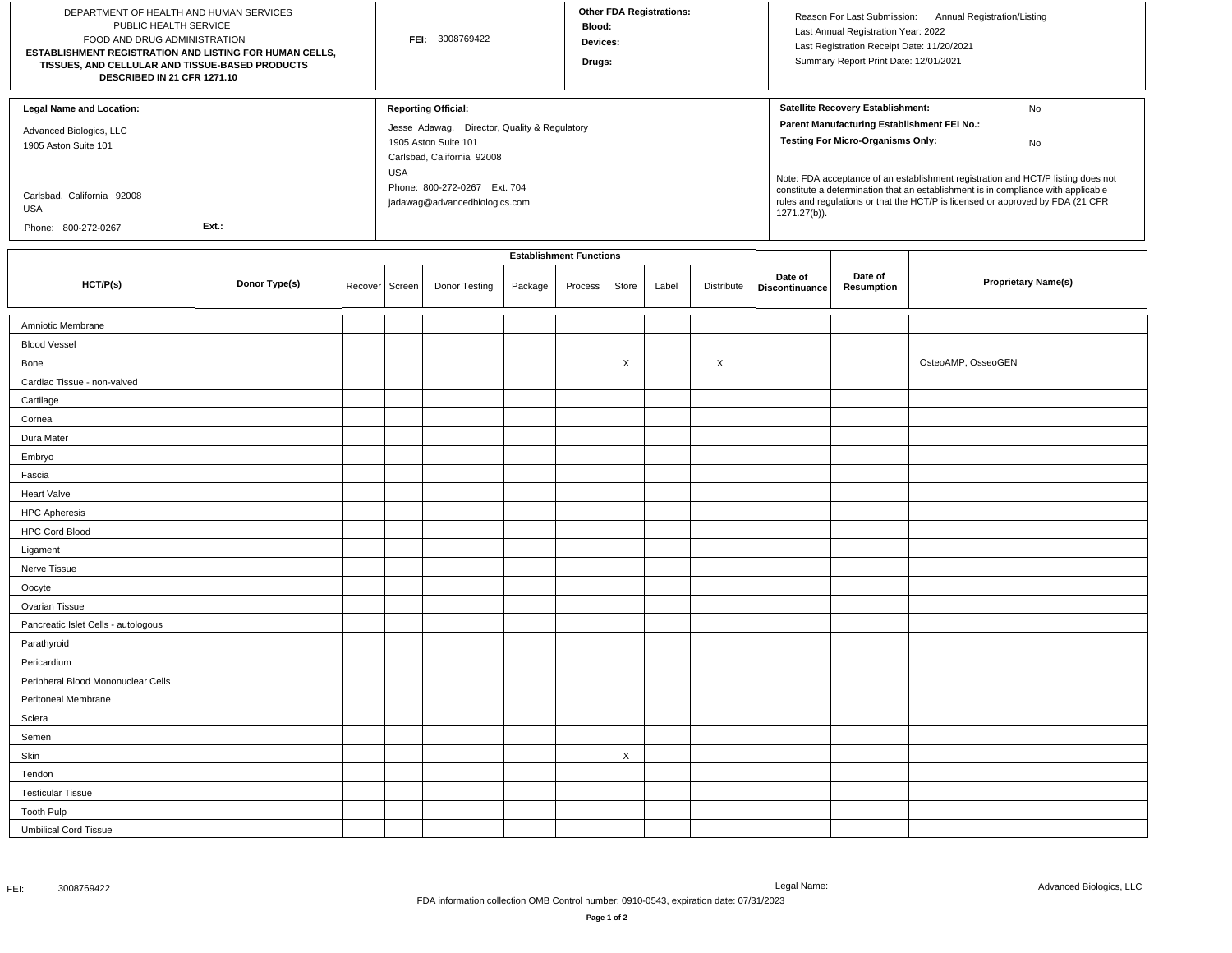| DEPARTMENT OF HEALTH AND HUMAN SERVICES<br>PUBLIC HEALTH SERVICE<br>FOOD AND DRUG ADMINISTRATION<br>ESTABLISHMENT REGISTRATION AND LISTING FOR HUMAN CELLS,<br>TISSUES, AND CELLULAR AND TISSUE-BASED PRODUCTS<br>DESCRIBED IN 21 CFR 1271.10 |               |         | FEI: 3008769422 |                                                                                                                                                                                                                 |                                |         | <b>Other FDA Registrations:</b><br><b>Blood:</b><br>Devices:<br>Drugs: |       |            |                                                                                                                                                                                                                                                                                                                                                                                                                     | Reason For Last Submission: Annual Registration/Listing<br>Last Annual Registration Year: 2022<br>Last Registration Receipt Date: 11/20/2021<br>Summary Report Print Date: 12/01/2021 |                            |  |
|-----------------------------------------------------------------------------------------------------------------------------------------------------------------------------------------------------------------------------------------------|---------------|---------|-----------------|-----------------------------------------------------------------------------------------------------------------------------------------------------------------------------------------------------------------|--------------------------------|---------|------------------------------------------------------------------------|-------|------------|---------------------------------------------------------------------------------------------------------------------------------------------------------------------------------------------------------------------------------------------------------------------------------------------------------------------------------------------------------------------------------------------------------------------|---------------------------------------------------------------------------------------------------------------------------------------------------------------------------------------|----------------------------|--|
| <b>Legal Name and Location:</b><br>Advanced Biologics, LLC<br>1905 Aston Suite 101<br>Carlsbad, California 92008<br>USA<br>Ext.:<br>Phone: 800-272-0267                                                                                       |               |         |                 | <b>Reporting Official:</b><br>Jesse Adawag, Director, Quality & Regulatory<br>1905 Aston Suite 101<br>Carlsbad, California 92008<br><b>USA</b><br>Phone: 800-272-0267 Ext. 704<br>jadawag@advancedbiologics.com |                                |         |                                                                        |       |            | Satellite Recovery Establishment:<br>No<br>Parent Manufacturing Establishment FEI No.:<br><b>Testing For Micro-Organisms Only:</b><br>No<br>Note: FDA acceptance of an establishment registration and HCT/P listing does not<br>constitute a determination that an establishment is in compliance with applicable<br>rules and regulations or that the HCT/P is licensed or approved by FDA (21 CFR<br>1271.27(b)). |                                                                                                                                                                                       |                            |  |
|                                                                                                                                                                                                                                               |               |         |                 |                                                                                                                                                                                                                 | <b>Establishment Functions</b> |         |                                                                        |       |            |                                                                                                                                                                                                                                                                                                                                                                                                                     |                                                                                                                                                                                       |                            |  |
| HCT/P(s)                                                                                                                                                                                                                                      | Donor Type(s) | Recover | Screen          | Donor Testing                                                                                                                                                                                                   | Package                        | Process | Store                                                                  | Label | Distribute | Date of<br>Discontinuance                                                                                                                                                                                                                                                                                                                                                                                           | Date of<br><b>Resumption</b>                                                                                                                                                          | <b>Proprietary Name(s)</b> |  |
| Amniotic Membrane                                                                                                                                                                                                                             |               |         |                 |                                                                                                                                                                                                                 |                                |         |                                                                        |       |            |                                                                                                                                                                                                                                                                                                                                                                                                                     |                                                                                                                                                                                       |                            |  |
| <b>Blood Vessel</b>                                                                                                                                                                                                                           |               |         |                 |                                                                                                                                                                                                                 |                                |         |                                                                        |       |            |                                                                                                                                                                                                                                                                                                                                                                                                                     |                                                                                                                                                                                       |                            |  |
| Bone                                                                                                                                                                                                                                          |               |         |                 |                                                                                                                                                                                                                 |                                |         | $\times$                                                               |       | X          |                                                                                                                                                                                                                                                                                                                                                                                                                     |                                                                                                                                                                                       | OsteoAMP, OsseoGEN         |  |
| Cardiac Tissue - non-valved                                                                                                                                                                                                                   |               |         |                 |                                                                                                                                                                                                                 |                                |         |                                                                        |       |            |                                                                                                                                                                                                                                                                                                                                                                                                                     |                                                                                                                                                                                       |                            |  |
| Cartilage                                                                                                                                                                                                                                     |               |         |                 |                                                                                                                                                                                                                 |                                |         |                                                                        |       |            |                                                                                                                                                                                                                                                                                                                                                                                                                     |                                                                                                                                                                                       |                            |  |
| Cornea                                                                                                                                                                                                                                        |               |         |                 |                                                                                                                                                                                                                 |                                |         |                                                                        |       |            |                                                                                                                                                                                                                                                                                                                                                                                                                     |                                                                                                                                                                                       |                            |  |
| Dura Mater                                                                                                                                                                                                                                    |               |         |                 |                                                                                                                                                                                                                 |                                |         |                                                                        |       |            |                                                                                                                                                                                                                                                                                                                                                                                                                     |                                                                                                                                                                                       |                            |  |
| Embryo                                                                                                                                                                                                                                        |               |         |                 |                                                                                                                                                                                                                 |                                |         |                                                                        |       |            |                                                                                                                                                                                                                                                                                                                                                                                                                     |                                                                                                                                                                                       |                            |  |
| Fascia                                                                                                                                                                                                                                        |               |         |                 |                                                                                                                                                                                                                 |                                |         |                                                                        |       |            |                                                                                                                                                                                                                                                                                                                                                                                                                     |                                                                                                                                                                                       |                            |  |
| Heart Valve                                                                                                                                                                                                                                   |               |         |                 |                                                                                                                                                                                                                 |                                |         |                                                                        |       |            |                                                                                                                                                                                                                                                                                                                                                                                                                     |                                                                                                                                                                                       |                            |  |
| <b>HPC Apheresis</b>                                                                                                                                                                                                                          |               |         |                 |                                                                                                                                                                                                                 |                                |         |                                                                        |       |            |                                                                                                                                                                                                                                                                                                                                                                                                                     |                                                                                                                                                                                       |                            |  |
| <b>HPC Cord Blood</b>                                                                                                                                                                                                                         |               |         |                 |                                                                                                                                                                                                                 |                                |         |                                                                        |       |            |                                                                                                                                                                                                                                                                                                                                                                                                                     |                                                                                                                                                                                       |                            |  |
| Ligament                                                                                                                                                                                                                                      |               |         |                 |                                                                                                                                                                                                                 |                                |         |                                                                        |       |            |                                                                                                                                                                                                                                                                                                                                                                                                                     |                                                                                                                                                                                       |                            |  |
| Nerve Tissue                                                                                                                                                                                                                                  |               |         |                 |                                                                                                                                                                                                                 |                                |         |                                                                        |       |            |                                                                                                                                                                                                                                                                                                                                                                                                                     |                                                                                                                                                                                       |                            |  |
| Oocyte                                                                                                                                                                                                                                        |               |         |                 |                                                                                                                                                                                                                 |                                |         |                                                                        |       |            |                                                                                                                                                                                                                                                                                                                                                                                                                     |                                                                                                                                                                                       |                            |  |
| Ovarian Tissue                                                                                                                                                                                                                                |               |         |                 |                                                                                                                                                                                                                 |                                |         |                                                                        |       |            |                                                                                                                                                                                                                                                                                                                                                                                                                     |                                                                                                                                                                                       |                            |  |
| Pancreatic Islet Cells - autologous                                                                                                                                                                                                           |               |         |                 |                                                                                                                                                                                                                 |                                |         |                                                                        |       |            |                                                                                                                                                                                                                                                                                                                                                                                                                     |                                                                                                                                                                                       |                            |  |
| Parathyroid                                                                                                                                                                                                                                   |               |         |                 |                                                                                                                                                                                                                 |                                |         |                                                                        |       |            |                                                                                                                                                                                                                                                                                                                                                                                                                     |                                                                                                                                                                                       |                            |  |
| Pericardium                                                                                                                                                                                                                                   |               |         |                 |                                                                                                                                                                                                                 |                                |         |                                                                        |       |            |                                                                                                                                                                                                                                                                                                                                                                                                                     |                                                                                                                                                                                       |                            |  |
| Peripheral Blood Mononuclear Cells                                                                                                                                                                                                            |               |         |                 |                                                                                                                                                                                                                 |                                |         |                                                                        |       |            |                                                                                                                                                                                                                                                                                                                                                                                                                     |                                                                                                                                                                                       |                            |  |
| Peritoneal Membrane                                                                                                                                                                                                                           |               |         |                 |                                                                                                                                                                                                                 |                                |         |                                                                        |       |            |                                                                                                                                                                                                                                                                                                                                                                                                                     |                                                                                                                                                                                       |                            |  |
| Sclera                                                                                                                                                                                                                                        |               |         |                 |                                                                                                                                                                                                                 |                                |         |                                                                        |       |            |                                                                                                                                                                                                                                                                                                                                                                                                                     |                                                                                                                                                                                       |                            |  |
| Semen                                                                                                                                                                                                                                         |               |         |                 |                                                                                                                                                                                                                 |                                |         |                                                                        |       |            |                                                                                                                                                                                                                                                                                                                                                                                                                     |                                                                                                                                                                                       |                            |  |
| Skin                                                                                                                                                                                                                                          |               |         |                 |                                                                                                                                                                                                                 |                                |         | X                                                                      |       |            |                                                                                                                                                                                                                                                                                                                                                                                                                     |                                                                                                                                                                                       |                            |  |
| Tendon                                                                                                                                                                                                                                        |               |         |                 |                                                                                                                                                                                                                 |                                |         |                                                                        |       |            |                                                                                                                                                                                                                                                                                                                                                                                                                     |                                                                                                                                                                                       |                            |  |
| <b>Testicular Tissue</b>                                                                                                                                                                                                                      |               |         |                 |                                                                                                                                                                                                                 |                                |         |                                                                        |       |            |                                                                                                                                                                                                                                                                                                                                                                                                                     |                                                                                                                                                                                       |                            |  |
| <b>Tooth Pulp</b>                                                                                                                                                                                                                             |               |         |                 |                                                                                                                                                                                                                 |                                |         |                                                                        |       |            |                                                                                                                                                                                                                                                                                                                                                                                                                     |                                                                                                                                                                                       |                            |  |
| <b>Umbilical Cord Tissue</b>                                                                                                                                                                                                                  |               |         |                 |                                                                                                                                                                                                                 |                                |         |                                                                        |       |            |                                                                                                                                                                                                                                                                                                                                                                                                                     |                                                                                                                                                                                       |                            |  |